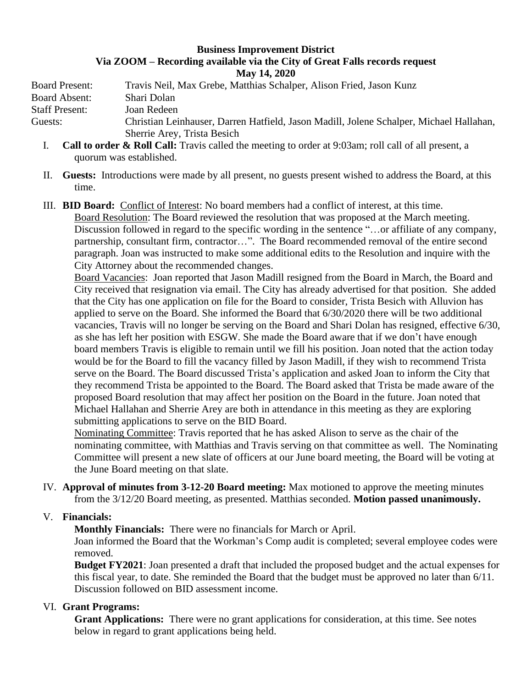## **Business Improvement District Via ZOOM – Recording available via the City of Great Falls records request May 14, 2020**

Board Present: Travis Neil, Max Grebe, Matthias Schalper, Alison Fried, Jason Kunz Board Absent: Shari Dolan Staff Present: Joan Redeen Guests: Christian Leinhauser, Darren Hatfield, Jason Madill, Jolene Schalper, Michael Hallahan, Sherrie Arey, Trista Besich

- I. **Call to order & Roll Call:** Travis called the meeting to order at 9:03am; roll call of all present, a quorum was established.
- II. **Guests:** Introductions were made by all present, no guests present wished to address the Board, at this time.
- III. **BID Board:** Conflict of Interest: No board members had a conflict of interest, at this time. Board Resolution: The Board reviewed the resolution that was proposed at the March meeting. Discussion followed in regard to the specific wording in the sentence "...or affiliate of any company, partnership, consultant firm, contractor…". The Board recommended removal of the entire second paragraph. Joan was instructed to make some additional edits to the Resolution and inquire with the City Attorney about the recommended changes.

Board Vacancies: Joan reported that Jason Madill resigned from the Board in March, the Board and City received that resignation via email. The City has already advertised for that position. She added that the City has one application on file for the Board to consider, Trista Besich with Alluvion has applied to serve on the Board. She informed the Board that 6/30/2020 there will be two additional vacancies, Travis will no longer be serving on the Board and Shari Dolan has resigned, effective 6/30, as she has left her position with ESGW. She made the Board aware that if we don't have enough board members Travis is eligible to remain until we fill his position. Joan noted that the action today would be for the Board to fill the vacancy filled by Jason Madill, if they wish to recommend Trista serve on the Board. The Board discussed Trista's application and asked Joan to inform the City that they recommend Trista be appointed to the Board. The Board asked that Trista be made aware of the proposed Board resolution that may affect her position on the Board in the future. Joan noted that Michael Hallahan and Sherrie Arey are both in attendance in this meeting as they are exploring submitting applications to serve on the BID Board.

Nominating Committee: Travis reported that he has asked Alison to serve as the chair of the nominating committee, with Matthias and Travis serving on that committee as well. The Nominating Committee will present a new slate of officers at our June board meeting, the Board will be voting at the June Board meeting on that slate.

IV. **Approval of minutes from 3-12-20 Board meeting:** Max motioned to approve the meeting minutes from the 3/12/20 Board meeting, as presented. Matthias seconded. **Motion passed unanimously.**

## V. **Financials:**

**Monthly Financials:** There were no financials for March or April.

Joan informed the Board that the Workman's Comp audit is completed; several employee codes were removed.

**Budget FY2021**: Joan presented a draft that included the proposed budget and the actual expenses for this fiscal year, to date. She reminded the Board that the budget must be approved no later than 6/11. Discussion followed on BID assessment income.

## VI. **Grant Programs:**

**Grant Applications:** There were no grant applications for consideration, at this time. See notes below in regard to grant applications being held.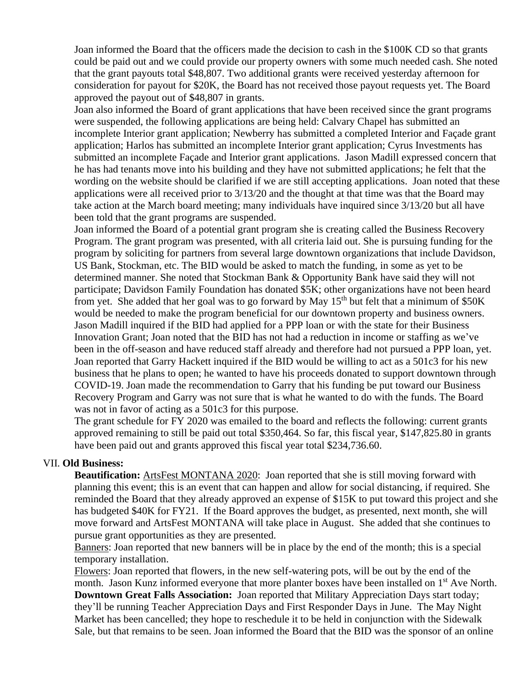Joan informed the Board that the officers made the decision to cash in the \$100K CD so that grants could be paid out and we could provide our property owners with some much needed cash. She noted that the grant payouts total \$48,807. Two additional grants were received yesterday afternoon for consideration for payout for \$20K, the Board has not received those payout requests yet. The Board approved the payout out of \$48,807 in grants.

Joan also informed the Board of grant applications that have been received since the grant programs were suspended, the following applications are being held: Calvary Chapel has submitted an incomplete Interior grant application; Newberry has submitted a completed Interior and Façade grant application; Harlos has submitted an incomplete Interior grant application; Cyrus Investments has submitted an incomplete Façade and Interior grant applications. Jason Madill expressed concern that he has had tenants move into his building and they have not submitted applications; he felt that the wording on the website should be clarified if we are still accepting applications. Joan noted that these applications were all received prior to 3/13/20 and the thought at that time was that the Board may take action at the March board meeting; many individuals have inquired since 3/13/20 but all have been told that the grant programs are suspended.

Joan informed the Board of a potential grant program she is creating called the Business Recovery Program. The grant program was presented, with all criteria laid out. She is pursuing funding for the program by soliciting for partners from several large downtown organizations that include Davidson, US Bank, Stockman, etc. The BID would be asked to match the funding, in some as yet to be determined manner. She noted that Stockman Bank & Opportunity Bank have said they will not participate; Davidson Family Foundation has donated \$5K; other organizations have not been heard from yet. She added that her goal was to go forward by May  $15<sup>th</sup>$  but felt that a minimum of \$50K would be needed to make the program beneficial for our downtown property and business owners. Jason Madill inquired if the BID had applied for a PPP loan or with the state for their Business Innovation Grant; Joan noted that the BID has not had a reduction in income or staffing as we've been in the off-season and have reduced staff already and therefore had not pursued a PPP loan, yet. Joan reported that Garry Hackett inquired if the BID would be willing to act as a 501c3 for his new business that he plans to open; he wanted to have his proceeds donated to support downtown through COVID-19. Joan made the recommendation to Garry that his funding be put toward our Business Recovery Program and Garry was not sure that is what he wanted to do with the funds. The Board was not in favor of acting as a 501c3 for this purpose.

The grant schedule for FY 2020 was emailed to the board and reflects the following: current grants approved remaining to still be paid out total \$350,464. So far, this fiscal year, \$147,825.80 in grants have been paid out and grants approved this fiscal year total \$234,736.60.

## VII. **Old Business:**

**Beautification:** ArtsFest MONTANA 2020: Joan reported that she is still moving forward with planning this event; this is an event that can happen and allow for social distancing, if required. She reminded the Board that they already approved an expense of \$15K to put toward this project and she has budgeted \$40K for FY21. If the Board approves the budget, as presented, next month, she will move forward and ArtsFest MONTANA will take place in August. She added that she continues to pursue grant opportunities as they are presented.

Banners: Joan reported that new banners will be in place by the end of the month; this is a special temporary installation.

Flowers: Joan reported that flowers, in the new self-watering pots, will be out by the end of the month. Jason Kunz informed everyone that more planter boxes have been installed on 1<sup>st</sup> Ave North. **Downtown Great Falls Association:** Joan reported that Military Appreciation Days start today; they'll be running Teacher Appreciation Days and First Responder Days in June. The May Night Market has been cancelled; they hope to reschedule it to be held in conjunction with the Sidewalk Sale, but that remains to be seen. Joan informed the Board that the BID was the sponsor of an online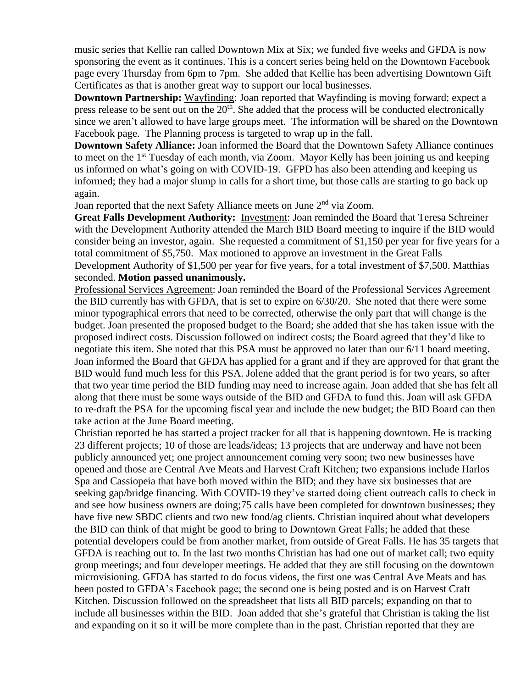music series that Kellie ran called Downtown Mix at Six; we funded five weeks and GFDA is now sponsoring the event as it continues. This is a concert series being held on the Downtown Facebook page every Thursday from 6pm to 7pm. She added that Kellie has been advertising Downtown Gift Certificates as that is another great way to support our local businesses.

**Downtown Partnership:** Wayfinding: Joan reported that Wayfinding is moving forward; expect a press release to be sent out on the  $20<sup>th</sup>$ . She added that the process will be conducted electronically since we aren't allowed to have large groups meet. The information will be shared on the Downtown Facebook page. The Planning process is targeted to wrap up in the fall.

**Downtown Safety Alliance:** Joan informed the Board that the Downtown Safety Alliance continues to meet on the 1<sup>st</sup> Tuesday of each month, via Zoom. Mayor Kelly has been joining us and keeping us informed on what's going on with COVID-19. GFPD has also been attending and keeping us informed; they had a major slump in calls for a short time, but those calls are starting to go back up again.

Joan reported that the next Safety Alliance meets on June  $2<sup>nd</sup>$  via Zoom.

**Great Falls Development Authority:** Investment: Joan reminded the Board that Teresa Schreiner with the Development Authority attended the March BID Board meeting to inquire if the BID would consider being an investor, again. She requested a commitment of \$1,150 per year for five years for a total commitment of \$5,750. Max motioned to approve an investment in the Great Falls Development Authority of \$1,500 per year for five years, for a total investment of \$7,500. Matthias seconded. **Motion passed unanimously.**

Professional Services Agreement: Joan reminded the Board of the Professional Services Agreement the BID currently has with GFDA, that is set to expire on 6/30/20. She noted that there were some minor typographical errors that need to be corrected, otherwise the only part that will change is the budget. Joan presented the proposed budget to the Board; she added that she has taken issue with the proposed indirect costs. Discussion followed on indirect costs; the Board agreed that they'd like to negotiate this item. She noted that this PSA must be approved no later than our 6/11 board meeting. Joan informed the Board that GFDA has applied for a grant and if they are approved for that grant the BID would fund much less for this PSA. Jolene added that the grant period is for two years, so after that two year time period the BID funding may need to increase again. Joan added that she has felt all along that there must be some ways outside of the BID and GFDA to fund this. Joan will ask GFDA to re-draft the PSA for the upcoming fiscal year and include the new budget; the BID Board can then take action at the June Board meeting.

Christian reported he has started a project tracker for all that is happening downtown. He is tracking 23 different projects; 10 of those are leads/ideas; 13 projects that are underway and have not been publicly announced yet; one project announcement coming very soon; two new businesses have opened and those are Central Ave Meats and Harvest Craft Kitchen; two expansions include Harlos Spa and Cassiopeia that have both moved within the BID; and they have six businesses that are seeking gap/bridge financing. With COVID-19 they've started doing client outreach calls to check in and see how business owners are doing;75 calls have been completed for downtown businesses; they have five new SBDC clients and two new food/ag clients. Christian inquired about what developers the BID can think of that might be good to bring to Downtown Great Falls; he added that these potential developers could be from another market, from outside of Great Falls. He has 35 targets that GFDA is reaching out to. In the last two months Christian has had one out of market call; two equity group meetings; and four developer meetings. He added that they are still focusing on the downtown microvisioning. GFDA has started to do focus videos, the first one was Central Ave Meats and has been posted to GFDA's Facebook page; the second one is being posted and is on Harvest Craft Kitchen. Discussion followed on the spreadsheet that lists all BID parcels; expanding on that to include all businesses within the BID. Joan added that she's grateful that Christian is taking the list and expanding on it so it will be more complete than in the past. Christian reported that they are